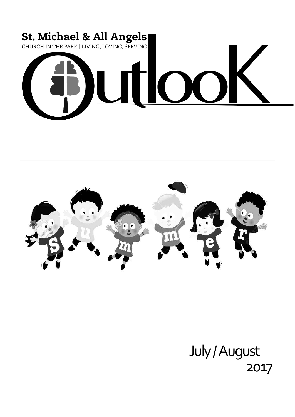



# July / August 2017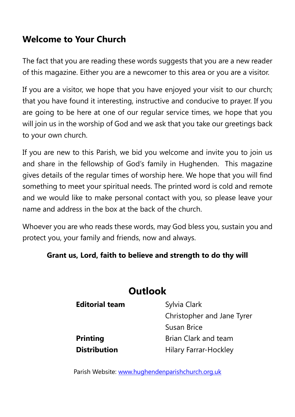### **Welcome to Your Church**

The fact that you are reading these words suggests that you are a new reader of this magazine. Either you are a newcomer to this area or you are a visitor.

If you are a visitor, we hope that you have enjoyed your visit to our church; that you have found it interesting, instructive and conducive to prayer. If you are going to be here at one of our regular service times, we hope that you will join us in the worship of God and we ask that you take our greetings back to your own church.

If you are new to this Parish, we bid you welcome and invite you to join us and share in the fellowship of God's family in Hughenden. This magazine gives details of the regular times of worship here. We hope that you will find something to meet your spiritual needs. The printed word is cold and remote and we would like to make personal contact with you, so please leave your name and address in the box at the back of the church.

Whoever you are who reads these words, may God bless you, sustain you and protect you, your family and friends, now and always.

#### **Grant us, Lord, faith to believe and strength to do thy will**

### **Outlook**

| <b>Editorial team</b> | Sylvia Clark                 |
|-----------------------|------------------------------|
|                       | Christopher and Jane Tyrer   |
|                       | Susan Brice                  |
| <b>Printing</b>       | <b>Brian Clark and team</b>  |
| <b>Distribution</b>   | <b>Hilary Farrar-Hockley</b> |

Parish Website: [www.hughendenparishchurch.org.uk](http://www.hughendenparishchurch.org.uk/)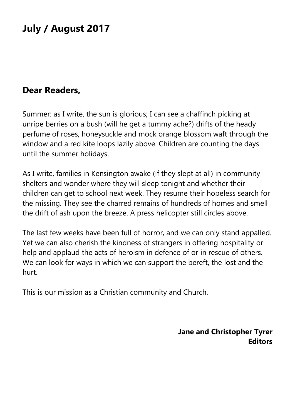# **July / August 2017**

### **Dear Readers,**

Summer: as I write, the sun is glorious; I can see a chaffinch picking at unripe berries on a bush (will he get a tummy ache?) drifts of the heady perfume of roses, honeysuckle and mock orange blossom waft through the window and a red kite loops lazily above. Children are counting the days until the summer holidays.

As I write, families in Kensington awake (if they slept at all) in community shelters and wonder where they will sleep tonight and whether their children can get to school next week. They resume their hopeless search for the missing. They see the charred remains of hundreds of homes and smell the drift of ash upon the breeze. A press helicopter still circles above.

The last few weeks have been full of horror, and we can only stand appalled. Yet we can also cherish the kindness of strangers in offering hospitality or help and applaud the acts of heroism in defence of or in rescue of others. We can look for ways in which we can support the bereft, the lost and the hurt.

This is our mission as a Christian community and Church.

**Jane and Christopher Tyrer Editors**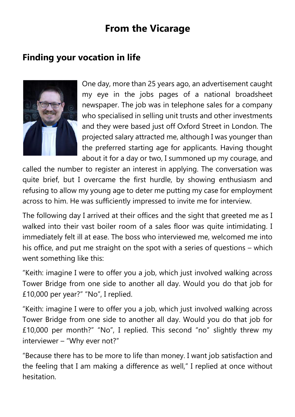# **From the Vicarage**

### **Finding your vocation in life**



One day, more than 25 years ago, an advertisement caught my eye in the jobs pages of a national broadsheet newspaper. The job was in telephone sales for a company who specialised in selling unit trusts and other investments and they were based just off Oxford Street in London. The projected salary attracted me, although I was younger than the preferred starting age for applicants. Having thought about it for a day or two, I summoned up my courage, and

called the number to register an interest in applying. The conversation was quite brief, but I overcame the first hurdle, by showing enthusiasm and refusing to allow my young age to deter me putting my case for employment across to him. He was sufficiently impressed to invite me for interview.

The following day I arrived at their offices and the sight that greeted me as I walked into their vast boiler room of a sales floor was quite intimidating. I immediately felt ill at ease. The boss who interviewed me, welcomed me into his office, and put me straight on the spot with a series of questions – which went something like this:

"Keith: imagine I were to offer you a job, which just involved walking across Tower Bridge from one side to another all day. Would you do that job for £10,000 per year?" "No", I replied.

"Keith: imagine I were to offer you a job, which just involved walking across Tower Bridge from one side to another all day. Would you do that job for £10,000 per month?" "No", I replied. This second "no" slightly threw my interviewer – "Why ever not?"

"Because there has to be more to life than money. I want job satisfaction and the feeling that I am making a difference as well," I replied at once without hesitation.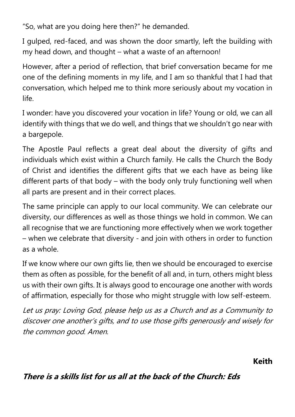"So, what are you doing here then?" he demanded.

I gulped, red-faced, and was shown the door smartly, left the building with my head down, and thought – what a waste of an afternoon!

However, after a period of reflection, that brief conversation became for me one of the defining moments in my life, and I am so thankful that I had that conversation, which helped me to think more seriously about my vocation in life.

I wonder: have you discovered your vocation in life? Young or old, we can all identify with things that we do well, and things that we shouldn't go near with a bargepole.

The Apostle Paul reflects a great deal about the diversity of gifts and individuals which exist within a Church family. He calls the Church the Body of Christ and identifies the different gifts that we each have as being like different parts of that body – with the body only truly functioning well when all parts are present and in their correct places.

The same principle can apply to our local community. We can celebrate our diversity, our differences as well as those things we hold in common. We can all recognise that we are functioning more effectively when we work together – when we celebrate that diversity - and join with others in order to function as a whole.

If we know where our own gifts lie, then we should be encouraged to exercise them as often as possible, for the benefit of all and, in turn, others might bless us with their own gifts. It is always good to encourage one another with words of affirmation, especially for those who might struggle with low self-esteem.

Let us pray: Loving God, please help us as a Church and as a Community to discover one another's gifts, and to use those gifts generously and wisely for the common good. Amen.

**Keith** 

#### **There is a skills list for us all at the back of the Church: Eds**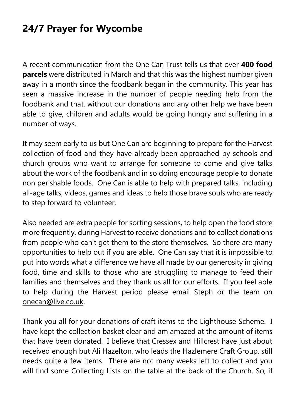# **24/7 Prayer for Wycombe**

A recent communication from the One Can Trust tells us that over **400 food parcels** were distributed in March and that this was the highest number given away in a month since the foodbank began in the community. This year has seen a massive increase in the number of people needing help from the foodbank and that, without our donations and any other help we have been able to give, children and adults would be going hungry and suffering in a number of ways.

It may seem early to us but One Can are beginning to prepare for the Harvest collection of food and they have already been approached by schools and church groups who want to arrange for someone to come and give talks about the work of the foodbank and in so doing encourage people to donate non perishable foods. One Can is able to help with prepared talks, including all-age talks, videos, games and ideas to help those brave souls who are ready to step forward to volunteer.

Also needed are extra people for sorting sessions, to help open the food store more frequently, during Harvest to receive donations and to collect donations from people who can't get them to the store themselves. So there are many opportunities to help out if you are able. One Can say that it is impossible to put into words what a difference we have all made by our generosity in giving food, time and skills to those who are struggling to manage to feed their families and themselves and they thank us all for our efforts. If you feel able to help during the Harvest period please email Steph or the team on [onecan@live.co.uk.](mailto:onecan@live.co.uk)

Thank you all for your donations of craft items to the Lighthouse Scheme. I have kept the collection basket clear and am amazed at the amount of items that have been donated. I believe that Cressex and Hillcrest have just about received enough but Ali Hazelton, who leads the Hazlemere Craft Group, still needs quite a few items. There are not many weeks left to collect and you will find some Collecting Lists on the table at the back of the Church. So, if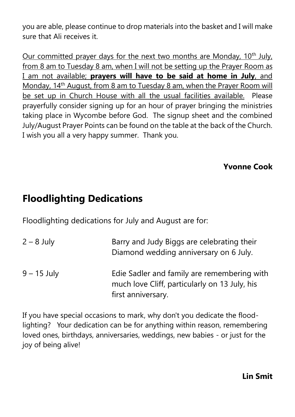you are able, please continue to drop materials into the basket and I will make sure that Ali receives it.

Our committed prayer days for the next two months are Monday,  $10<sup>th</sup>$  July, from 8 am to Tuesday 8 am, when I will not be setting up the Prayer Room as I am not available; **prayers will have to be said at home in July**, and Monday, 14<sup>th</sup> August, from 8 am to Tuesday 8 am, when the Prayer Room will be set up in Church House with all the usual facilities available. Please prayerfully consider signing up for an hour of prayer bringing the ministries taking place in Wycombe before God. The signup sheet and the combined July/August Prayer Points can be found on the table at the back of the Church. I wish you all a very happy summer. Thank you.

#### **Yvonne Cook**

# **Floodlighting Dedications**

Floodlighting dedications for July and August are for:

2 – 8 July Barry and Judy Biggs are celebrating their Diamond wedding anniversary on 6 July. 9 – 15 July Edie Sadler and family are remembering with much love Cliff, particularly on 13 July, his first anniversary.

If you have special occasions to mark, why don't you dedicate the floodlighting? Your dedication can be for anything within reason, remembering loved ones, birthdays, anniversaries, weddings, new babies - or just for the joy of being alive!

#### **Lin Smit**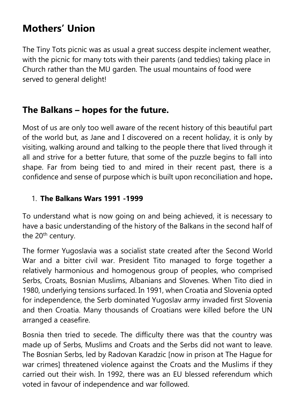# **Mothers' Union**

The Tiny Tots picnic was as usual a great success despite inclement weather, with the picnic for many tots with their parents (and teddies) taking place in Church rather than the MU garden. The usual mountains of food were served to general delight!

### **The Balkans – hopes for the future.**

Most of us are only too well aware of the recent history of this beautiful part of the world but, as Jane and I discovered on a recent holiday, it is only by visiting, walking around and talking to the people there that lived through it all and strive for a better future, that some of the puzzle begins to fall into shape. Far from being tied to and mired in their recent past, there is a confidence and sense of purpose which is built upon reconciliation and hope**.**

#### 1. **The Balkans Wars 1991 -1999**

To understand what is now going on and being achieved, it is necessary to have a basic understanding of the history of the Balkans in the second half of the 20<sup>th</sup> century.

The former Yugoslavia was a socialist state created after the Second World War and a bitter civil war. President Tito managed to forge together a relatively harmonious and homogenous group of peoples, who comprised Serbs, Croats, Bosnian Muslims, Albanians and Slovenes. When Tito died in 1980, underlying tensions surfaced. In 1991, when Croatia and Slovenia opted for independence, the Serb dominated Yugoslav army invaded first Slovenia and then Croatia. Many thousands of Croatians were killed before the UN arranged a ceasefire.

Bosnia then tried to secede. The difficulty there was that the country was made up of Serbs, Muslims and Croats and the Serbs did not want to leave. The Bosnian Serbs, led by Radovan Karadzic [now in prison at The Hague for war crimes] threatened violence against the Croats and the Muslims if they carried out their wish. In 1992, there was an EU blessed referendum which voted in favour of independence and war followed.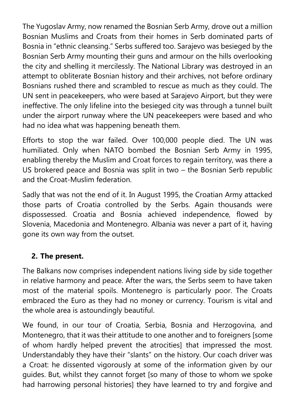The Yugoslav Army, now renamed the Bosnian Serb Army, drove out a million Bosnian Muslims and Croats from their homes in Serb dominated parts of Bosnia in "ethnic cleansing." Serbs suffered too. Sarajevo was besieged by the Bosnian Serb Army mounting their guns and armour on the hills overlooking the city and shelling it mercilessly. The National Library was destroyed in an attempt to obliterate Bosnian history and their archives, not before ordinary Bosnians rushed there and scrambled to rescue as much as they could. The UN sent in peacekeepers, who were based at Sarajevo Airport, but they were ineffective. The only lifeline into the besieged city was through a tunnel built under the airport runway where the UN peacekeepers were based and who had no idea what was happening beneath them.

Efforts to stop the war failed. Over 100,000 people died. The UN was humiliated. Only when NATO bombed the Bosnian Serb Army in 1995, enabling thereby the Muslim and Croat forces to regain territory, was there a US brokered peace and Bosnia was split in two – the Bosnian Serb republic and the Croat-Muslim federation.

Sadly that was not the end of it. In August 1995, the Croatian Army attacked those parts of Croatia controlled by the Serbs. Again thousands were dispossessed. Croatia and Bosnia achieved independence, flowed by Slovenia, Macedonia and Montenegro. Albania was never a part of it, having gone its own way from the outset.

#### **2. The present.**

The Balkans now comprises independent nations living side by side together in relative harmony and peace. After the wars, the Serbs seem to have taken most of the material spoils. Montenegro is particularly poor. The Croats embraced the Euro as they had no money or currency. Tourism is vital and the whole area is astoundingly beautiful.

We found, in our tour of Croatia, Serbia, Bosnia and Herzogovina, and Montenegro, that it was their attitude to one another and to foreigners [some of whom hardly helped prevent the atrocities] that impressed the most. Understandably they have their "slants" on the history. Our coach driver was a Croat: he dissented vigorously at some of the information given by our guides. But, whilst they cannot forget [so many of those to whom we spoke had harrowing personal histories] they have learned to try and forgive and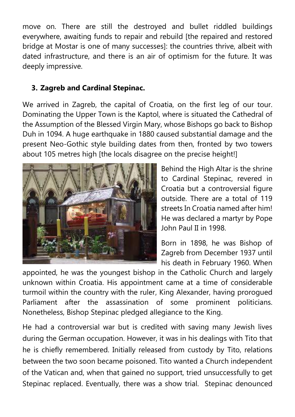move on. There are still the destroyed and bullet riddled buildings everywhere, awaiting funds to repair and rebuild [the repaired and restored bridge at Mostar is one of many successes]: the countries thrive, albeit with dated infrastructure, and there is an air of optimism for the future. It was deeply impressive.

#### **3. Zagreb and Cardinal Stepinac.**

We arrived in Zagreb, the capital of Croatia, on the first leg of our tour. Dominating the Upper Town is the Kaptol, where is situated the Cathedral of the Assumption of the Blessed Virgin Mary, whose Bishops go back to Bishop Duh in 1094. A huge earthquake in 1880 caused substantial damage and the present Neo-Gothic style building dates from then, fronted by two towers about 105 metres high [the locals disagree on the precise height!]



Behind the High Altar is the shrine to Cardinal Stepinac, revered in Croatia but a controversial figure outside. There are a total of 119 streets In Croatia named after him! He was declared a martyr by Pope John Paul II in 1998.

Born in 1898, he was Bishop of Zagreb from December 1937 until his death in February 1960. When

appointed, he was the youngest bishop in the Catholic Church and largely unknown within Croatia. His appointment came at a time of considerable turmoil within the country with the ruler, King Alexander, having prorogued Parliament after the assassination of some prominent politicians. Nonetheless, Bishop Stepinac pledged allegiance to the King.

He had a controversial war but is credited with saving many Jewish lives during the German occupation. However, it was in his dealings with Tito that he is chiefly remembered. Initially released from custody by Tito, relations between the two soon became poisoned. Tito wanted a Church independent of the Vatican and, when that gained no support, tried unsuccessfully to get Stepinac replaced. Eventually, there was a show trial. Stepinac denounced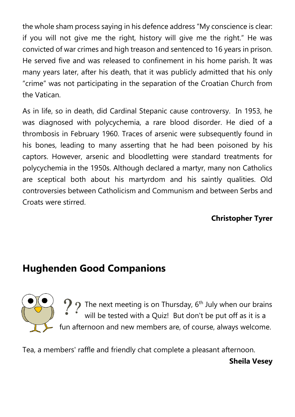the whole sham process saying in his defence address "My conscience is clear: if you will not give me the right, history will give me the right." He was convicted of war crimes and high treason and sentenced to 16 years in prison. He served five and was released to confinement in his home parish. It was many years later, after his death, that it was publicly admitted that his only "crime" was not participating in the separation of the Croatian Church from the Vatican.

As in life, so in death, did Cardinal Stepanic cause controversy. In 1953, he was diagnosed with polycychemia, a rare blood disorder. He died of a thrombosis in February 1960. Traces of arsenic were subsequently found in his bones, leading to many asserting that he had been poisoned by his captors. However, arsenic and bloodletting were standard treatments for polycychemia in the 1950s. Although declared a martyr, many non Catholics are sceptical both about his martyrdom and his saintly qualities. Old controversies between Catholicism and Communism and between Serbs and Croats were stirred.

#### **Christopher Tyrer**

# **Hughenden Good Companions**



 $\mathcal{P}$   $\gamma$  The next meeting is on Thursday, 6<sup>th</sup> July when our brains will be tested with a Quiz! But don't be put off as it is a fun afternoon and new members are, of course, always welcome.

Tea, a members' raffle and friendly chat complete a pleasant afternoon.

**Sheila Vesey**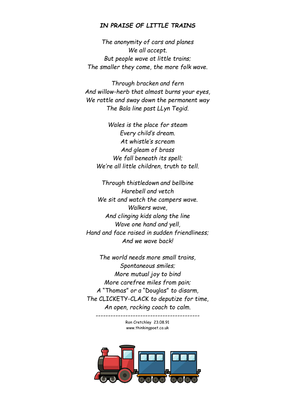#### *IN PRAISE OF LITTLE TRAINS*

*The anonymity of cars and planes We all accept. But people wave at little trains; The smaller they come, the more folk wave.*

*Through bracken and fern And willow-herb that almost burns your eyes, We rattle and sway down the permanent way The Bala line past LLyn Tegid.*

*Wales is the place for steam Every child's dream. At whistle's scream And gleam of brass We fall beneath its spell; We're all little children, truth to tell.*

*Through thistledown and bellbine Harebell and vetch We sit and watch the campers wave. Walkers wave, And clinging kids along the line Wave one hand and yell, Hand and face raised in sudden friendliness; And we wave back!*

*The world needs more small trains, Spontaneous smiles; More mutual joy to bind More carefree miles from pain; A* "Thomas" *or a* "Douglas" *to disarm, The* CLICKETY-CLACK *to deputize for time, An open, rocking coach to calm.*

> Ron Cretchley 23.08.91 www.thinkingpoet.co.uk

*------------------------------------------*

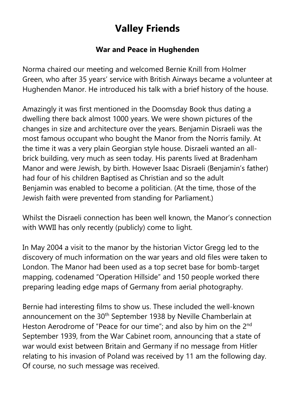# **Valley Friends**

#### **War and Peace in Hughenden**

Norma chaired our meeting and welcomed Bernie Knill from Holmer Green, who after 35 years' service with British Airways became a volunteer at Hughenden Manor. He introduced his talk with a brief history of the house.

Amazingly it was first mentioned in the Doomsday Book thus dating a dwelling there back almost 1000 years. We were shown pictures of the changes in size and architecture over the years. Benjamin Disraeli was the most famous occupant who bought the Manor from the Norris family. At the time it was a very plain Georgian style house. Disraeli wanted an allbrick building, very much as seen today. His parents lived at Bradenham Manor and were Jewish, by birth. However Isaac Disraeli (Benjamin's father) had four of his children Baptised as Christian and so the adult Benjamin was enabled to become a politician. (At the time, those of the Jewish faith were prevented from standing for Parliament.)

Whilst the Disraeli connection has been well known, the Manor's connection with WWII has only recently (publicly) come to light.

In May 2004 a visit to the manor by the historian Victor Gregg led to the discovery of much information on the war years and old files were taken to London. The Manor had been used as a top secret base for bomb-target mapping, codenamed "Operation Hillside" and 150 people worked there preparing leading edge maps of Germany from aerial photography.

Bernie had interesting films to show us. These included the well-known announcement on the 30<sup>th</sup> September 1938 by Neville Chamberlain at Heston Aerodrome of "Peace for our time"; and also by him on the 2<sup>nd</sup> September 1939, from the War Cabinet room, announcing that a state of war would exist between Britain and Germany if no message from Hitler relating to his invasion of Poland was received by 11 am the following day. Of course, no such message was received.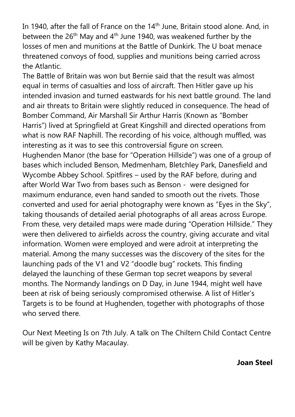In 1940, after the fall of France on the 14<sup>th</sup> June, Britain stood alone. And, in between the  $26<sup>th</sup>$  May and  $4<sup>th</sup>$  June 1940, was weakened further by the losses of men and munitions at the Battle of Dunkirk. The U boat menace threatened convoys of food, supplies and munitions being carried across the Atlantic.

The Battle of Britain was won but Bernie said that the result was almost equal in terms of casualties and loss of aircraft. Then Hitler gave up his intended invasion and turned eastwards for his next battle ground. The land and air threats to Britain were slightly reduced in consequence. The head of Bomber Command, Air Marshall Sir Arthur Harris (Known as "Bomber Harris") lived at Springfield at Great Kingshill and directed operations from what is now RAF Naphill. The recording of his voice, although muffled, was interesting as it was to see this controversial figure on screen. Hughenden Manor (the base for "Operation Hillside") was one of a group of bases which included Benson, Medmenham, Bletchley Park, Danesfield and Wycombe Abbey School. Spitfires – used by the RAF before, during and after World War Two from bases such as Benson - were designed for maximum endurance, even hand sanded to smooth out the rivets. Those converted and used for aerial photography were known as "Eyes in the Sky", taking thousands of detailed aerial photographs of all areas across Europe. From these, very detailed maps were made during "Operation Hillside." They were then delivered to airfields across the country, giving accurate and vital information. Women were employed and were adroit at interpreting the material. Among the many successes was the discovery of the sites for the launching pads of the V1 and V2 "doodle bug" rockets. This finding delayed the launching of these German top secret weapons by several months. The Normandy landings on D Day, in June 1944, might well have been at risk of being seriously compromised otherwise. A list of Hitler's Targets is to be found at Hughenden, together with photographs of those who served there.

Our Next Meeting Is on 7th July. A talk on The Chiltern Child Contact Centre will be given by Kathy Macaulay.

#### **Joan Steel**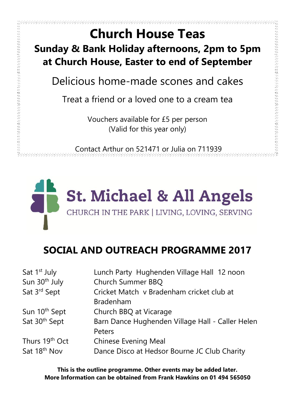おんかんかん クラクス いちきょう きょうかんかん スクリング スクリング ストランド スクラング アクリング

# **Church House Teas Sunday & Bank Holiday afternoons, 2pm to 5pm at Church House, Easter to end of September**

Delicious home-made scones and cakes

Treat a friend or a loved one to a cream tea

Vouchers available for £5 per person (Valid for this year only)

Contact Arthur on 521471 or Julia on 711939



# **SOCIAL AND OUTREACH PROGRAMME 2017**

| Sat 1 <sup>st</sup> July  | Lunch Party Hughenden Village Hall 12 noon       |
|---------------------------|--------------------------------------------------|
| Sun 30 <sup>th</sup> July | <b>Church Summer BBQ</b>                         |
| Sat 3rd Sept              | Cricket Match v Bradenham cricket club at        |
|                           | Bradenham                                        |
| Sun 10 <sup>th</sup> Sept | Church BBQ at Vicarage                           |
| Sat 30 <sup>th</sup> Sept | Barn Dance Hughenden Village Hall - Caller Helen |
|                           | Peters                                           |
| Thurs 19th Oct            | <b>Chinese Evening Meal</b>                      |
| Sat 18 <sup>th</sup> Nov  | Dance Disco at Hedsor Bourne JC Club Charity     |

**This is the outline programme. Other events may be added later. More Information can be obtained from Frank Hawkins on 01 494 565050**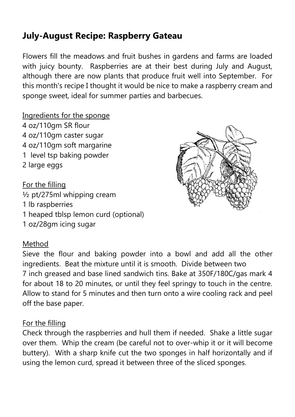# **July-August Recipe: Raspberry Gateau**

Flowers fill the meadows and fruit bushes in gardens and farms are loaded with juicy bounty. Raspberries are at their best during July and August, although there are now plants that produce fruit well into September. For this month's recipe I thought it would be nice to make a raspberry cream and sponge sweet, ideal for summer parties and barbecues.

Ingredients for the sponge 4 oz/110gm SR flour 4 oz/110gm caster sugar 4 oz/110gm soft margarine 1 level tsp baking powder 2 large eggs

For the filling ½ pt/275ml whipping cream 1 lb raspberries 1 heaped tblsp lemon curd (optional) 1 oz/28gm icing sugar

#### Method

Sieve the flour and baking powder into a bowl and add all the other ingredients. Beat the mixture until it is smooth. Divide between two 7 inch greased and base lined sandwich tins. Bake at 350F/180C/gas mark 4 for about 18 to 20 minutes, or until they feel springy to touch in the centre. Allow to stand for 5 minutes and then turn onto a wire cooling rack and peel off the base paper.

#### For the filling

Check through the raspberries and hull them if needed. Shake a little sugar over them. Whip the cream (be careful not to over-whip it or it will become buttery). With a sharp knife cut the two sponges in half horizontally and if using the lemon curd, spread it between three of the sliced sponges.

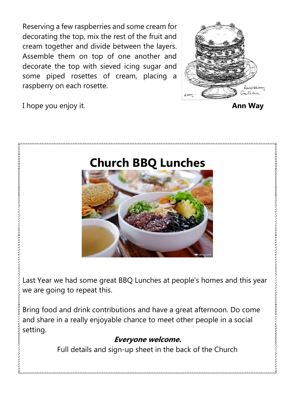Reserving a few raspberries and some cream for decorating the top, mix the rest of the fruit and cream together and divide between the layers. Assemble them on top of one another and decorate the top with sieved icing sugar and some piped rosettes of cream, placing a raspberry on each rosette.



I hope you enjoy it. **Ann Way**

.<br>The first first first first first first first first first first first first first first first first first first

# **Church BBQ Lunches**



Last Year we had some great BBQ Lunches at people's homes and this year we are going to repeat this.

Bring food and drink contributions and have a great afternoon. Do come and share in a really enjoyable chance to meet other people in a social setting.

#### **Everyone welcome.**

Full details and sign-up sheet in the back of the Church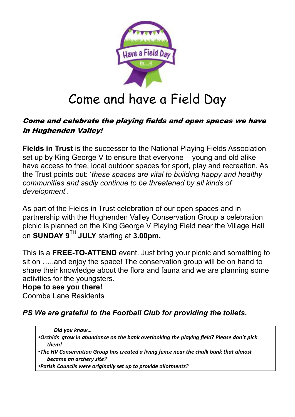

# Come and have a Field Day

#### Come and celebrate the playing fields and open spaces we have in Hughenden Valley!

**Fields in Trust** is the successor to the National Playing Fields Association set up by King George V to ensure that everyone – young and old alike – have access to free, local outdoor spaces for sport, play and recreation. As the Trust points out: '*these spaces are vital to building happy and healthy communities and sadly continue to be threatened by all kinds of development*'.

As part of the Fields in Trust celebration of our open spaces and in partnership with the Hughenden Valley Conservation Group a celebration picnic is planned on the King George V Playing Field near the Village Hall on **SUNDAY 9TH JULY** starting at **3.00pm.**

This is a **FREE-TO-ATTEND** event. Just bring your picnic and something to sit on …..and enjoy the space! The conservation group will be on hand to share their knowledge about the flora and fauna and we are planning some activities for the youngsters.

#### **Hope to see you there!**

Coombe Lane Residents

#### *PS We are grateful to the Football Club for providing the toilets.*

*Did you know…*

- •*Orchids grow in abundance on the bank overlooking the playing field? Please don't pick them!*
- •*The HV Conservation Group has created a living fence near the chalk bank that almost became an archery site?*

•*Parish Councils were originally set up to provide allotments?*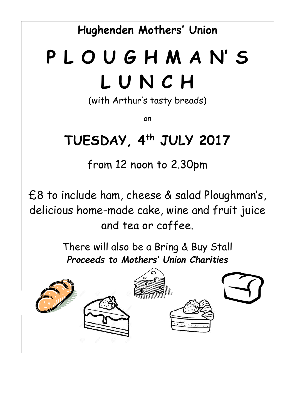**Hughenden Mothers' Union**

# **P L O U G H M A N' S L U N C H**

(with Arthur's tasty breads)

on

# **TUESDAY, 4th JULY 2017**

from 12 noon to 2.30pm

£8 to include ham, cheese & salad Ploughman's, delicious home-made cake, wine and fruit juice and tea or coffee.

> There will also be a Bring & Buy Stall *Proceeds to Mothers' Union Charities*

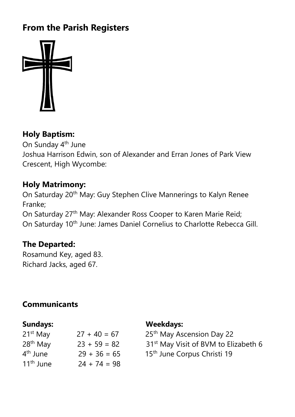# **From the Parish Registers**



#### **Holy Baptism:**

On Sunday 4<sup>th</sup> June Joshua Harrison Edwin, son of Alexander and Erran Jones of Park View Crescent, High Wycombe:

#### **Holy Matrimony:**

On Saturday 20<sup>th</sup> May: Guy Stephen Clive Mannerings to Kalyn Renee Franke;

On Saturday 27<sup>th</sup> May: Alexander Ross Cooper to Karen Marie Reid; On Saturday 10<sup>th</sup> June: James Daniel Cornelius to Charlotte Rebecca Gill.

#### **The Departed:**

Rosamund Key, aged 83. Richard Jacks, aged 67.

#### **Communicants**

| 21 <sup>st</sup> May  | $27 + 40 = 67$ |
|-----------------------|----------------|
| 28 <sup>th</sup> May  | $23 + 59 = 82$ |
| 4 <sup>th</sup> June  | $29 + 36 = 65$ |
| 11 <sup>th</sup> June | $24 + 74 = 98$ |

#### **Sundays: Weekdays:**

25<sup>th</sup> May Ascension Day 22 31<sup>st</sup> May Visit of BVM to Elizabeth 6 15<sup>th</sup> June Corpus Christi 19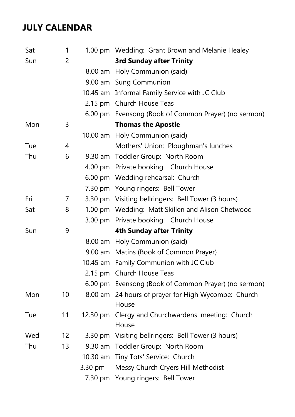# **JULY CALENDAR**

| Sat | 1                 |          | 1.00 pm Wedding: Grant Brown and Melanie Healey              |  |  |
|-----|-------------------|----------|--------------------------------------------------------------|--|--|
| Sun | $\overline{2}$    |          | <b>3rd Sunday after Trinity</b>                              |  |  |
|     |                   |          | 8.00 am Holy Communion (said)                                |  |  |
|     |                   |          | 9.00 am Sung Communion                                       |  |  |
|     |                   |          | 10.45 am Informal Family Service with JC Club                |  |  |
|     |                   |          | 2.15 pm Church House Teas                                    |  |  |
|     |                   |          | 6.00 pm Evensong (Book of Common Prayer) (no sermon)         |  |  |
| Mon | 3                 |          | <b>Thomas the Apostle</b>                                    |  |  |
|     |                   |          | 10.00 am Holy Communion (said)                               |  |  |
| Tue | 4                 |          | Mothers' Union: Ploughman's lunches                          |  |  |
| Thu | 6                 |          | 9.30 am Toddler Group: North Room                            |  |  |
|     |                   |          | 4.00 pm Private booking: Church House                        |  |  |
|     |                   |          | 6.00 pm Wedding rehearsal: Church                            |  |  |
|     |                   |          | 7.30 pm Young ringers: Bell Tower                            |  |  |
| Fri | 7                 |          | 3.30 pm Visiting bellringers: Bell Tower (3 hours)           |  |  |
| Sat | 8                 |          | 1.00 pm Wedding: Matt Skillen and Alison Chetwood            |  |  |
|     |                   |          | 3.00 pm Private booking: Church House                        |  |  |
| Sun | 9                 |          | <b>4th Sunday after Trinity</b>                              |  |  |
|     |                   |          | 8.00 am Holy Communion (said)                                |  |  |
|     |                   |          | 9.00 am Matins (Book of Common Prayer)                       |  |  |
|     |                   |          | 10.45 am Family Communion with JC Club                       |  |  |
|     |                   |          | 2.15 pm Church House Teas                                    |  |  |
|     |                   |          | 6.00 pm Evensong (Book of Common Prayer) (no sermon)         |  |  |
| Mon | 10 <sup>°</sup>   |          | 8.00 am 24 hours of prayer for High Wycombe: Church<br>House |  |  |
| Tue | 11                | 12.30 pm | Clergy and Churchwardens' meeting: Church<br>House           |  |  |
| Wed | $12 \overline{ }$ |          | 3.30 pm Visiting bellringers: Bell Tower (3 hours)           |  |  |
| Thu | 13                |          | 9.30 am Toddler Group: North Room                            |  |  |
|     |                   |          | 10.30 am Tiny Tots' Service: Church                          |  |  |
|     |                   | 3.30 pm  | Messy Church Cryers Hill Methodist                           |  |  |
|     |                   |          | 7.30 pm Young ringers: Bell Tower                            |  |  |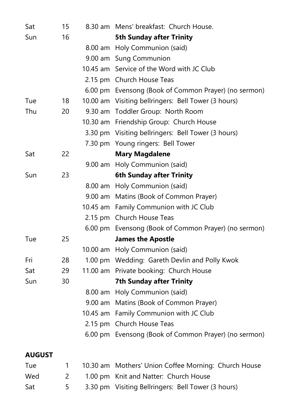| Sat                  | 15             |                   | 8.30 am Mens' breakfast: Church House.                                                        |  |  |
|----------------------|----------------|-------------------|-----------------------------------------------------------------------------------------------|--|--|
| Sun                  | 16             |                   | <b>5th Sunday after Trinity</b>                                                               |  |  |
|                      |                | $8.00 \text{ am}$ | Holy Communion (said)                                                                         |  |  |
|                      |                |                   | 9.00 am Sung Communion                                                                        |  |  |
|                      |                |                   | 10.45 am Service of the Word with JC Club                                                     |  |  |
|                      |                |                   | 2.15 pm Church House Teas                                                                     |  |  |
|                      |                |                   | 6.00 pm Evensong (Book of Common Prayer) (no sermon)                                          |  |  |
| Tue                  | 18             |                   | 10.00 am Visiting bellringers: Bell Tower (3 hours)                                           |  |  |
| Thu                  | 20             |                   | 9.30 am Toddler Group: North Room                                                             |  |  |
|                      |                |                   | 10.30 am Friendship Group: Church House                                                       |  |  |
|                      |                |                   | 3.30 pm Visiting bellringers: Bell Tower (3 hours)                                            |  |  |
|                      |                |                   | 7.30 pm Young ringers: Bell Tower                                                             |  |  |
| Sat                  | 22             |                   | <b>Mary Magdalene</b>                                                                         |  |  |
|                      |                |                   | 9.00 am Holy Communion (said)                                                                 |  |  |
| Sun                  | 23             |                   | <b>6th Sunday after Trinity</b>                                                               |  |  |
|                      |                |                   | 8.00 am Holy Communion (said)                                                                 |  |  |
|                      |                | $9.00$ am         | Matins (Book of Common Prayer)                                                                |  |  |
|                      |                |                   | 10.45 am Family Communion with JC Club                                                        |  |  |
|                      |                |                   | 2.15 pm Church House Teas                                                                     |  |  |
|                      |                |                   | 6.00 pm Evensong (Book of Common Prayer) (no sermon)                                          |  |  |
| Tue                  | 25             |                   | <b>James the Apostle</b>                                                                      |  |  |
|                      |                |                   | 10.00 am Holy Communion (said)                                                                |  |  |
| Fri                  | 28             |                   | 1.00 pm Wedding: Gareth Devlin and Polly Kwok                                                 |  |  |
| Sat                  | 29             |                   | 11.00 am Private booking: Church House                                                        |  |  |
| Sun                  | 30             |                   | <b>7th Sunday after Trinity</b>                                                               |  |  |
|                      |                |                   | 8.00 am Holy Communion (said)                                                                 |  |  |
|                      |                |                   | 9.00 am Matins (Book of Common Prayer)                                                        |  |  |
|                      |                |                   | 10.45 am Family Communion with JC Club                                                        |  |  |
|                      |                |                   | 2.15 pm Church House Teas                                                                     |  |  |
|                      |                |                   | 6.00 pm Evensong (Book of Common Prayer) (no sermon)                                          |  |  |
|                      |                |                   |                                                                                               |  |  |
|                      |                |                   |                                                                                               |  |  |
| Wed                  | $\overline{2}$ |                   |                                                                                               |  |  |
| Sat                  | 5              |                   | 3.30 pm Visiting Bellringers: Bell Tower (3 hours)                                            |  |  |
| <b>AUGUST</b><br>Tue | $\mathbf{1}$   |                   | 10.30 am Mothers' Union Coffee Morning: Church House<br>1.00 pm Knit and Natter: Church House |  |  |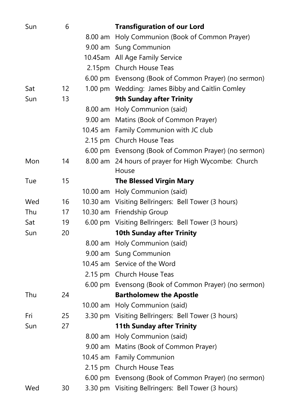| Sun | 6  |         | <b>Transfiguration of our Lord</b>                   |
|-----|----|---------|------------------------------------------------------|
|     |    |         | 8.00 am Holy Communion (Book of Common Prayer)       |
|     |    |         | 9.00 am Sung Communion                               |
|     |    |         | 10.45am All Age Family Service                       |
|     |    |         | 2.15pm Church House Teas                             |
|     |    |         | 6.00 pm Evensong (Book of Common Prayer) (no sermon) |
| Sat | 12 |         | 1.00 pm Wedding: James Bibby and Caitlin Comley      |
| Sun | 13 |         | <b>9th Sunday after Trinity</b>                      |
|     |    |         | 8.00 am Holy Communion (said)                        |
|     |    |         | 9.00 am Matins (Book of Common Prayer)               |
|     |    |         | 10.45 am Family Communion with JC club               |
|     |    |         | 2.15 pm Church House Teas                            |
|     |    |         | 6.00 pm Evensong (Book of Common Prayer) (no sermon) |
| Mon | 14 |         | 8.00 am 24 hours of prayer for High Wycombe: Church  |
|     |    |         | House                                                |
| Tue | 15 |         | <b>The Blessed Virgin Mary</b>                       |
|     |    |         | 10.00 am Holy Communion (said)                       |
| Wed | 16 |         | 10.30 am Visiting Bellringers: Bell Tower (3 hours)  |
| Thu | 17 |         | 10.30 am Friendship Group                            |
| Sat | 19 |         | 6.00 pm Visiting Bellringers: Bell Tower (3 hours)   |
| Sun | 20 |         | <b>10th Sunday after Trinity</b>                     |
|     |    |         | 8.00 am Holy Communion (said)                        |
|     |    |         | 9.00 am Sung Communion                               |
|     |    |         | 10.45 am Service of the Word                         |
|     |    |         | 2.15 pm Church House Teas                            |
|     |    |         | 6.00 pm Evensong (Book of Common Prayer) (no sermon) |
| Thu | 24 |         | <b>Bartholomew the Apostle</b>                       |
|     |    |         | 10.00 am Holy Communion (said)                       |
| Fri | 25 |         | 3.30 pm Visiting Bellringers: Bell Tower (3 hours)   |
| Sun | 27 |         | <b>11th Sunday after Trinity</b>                     |
|     |    |         | 8.00 am Holy Communion (said)                        |
|     |    | 9.00 am | Matins (Book of Common Prayer)                       |
|     |    |         | 10.45 am Family Communion                            |
|     |    |         | 2.15 pm Church House Teas                            |
|     |    |         | 6.00 pm Evensong (Book of Common Prayer) (no sermon) |
| Wed | 30 |         | 3.30 pm Visiting Bellringers: Bell Tower (3 hours)   |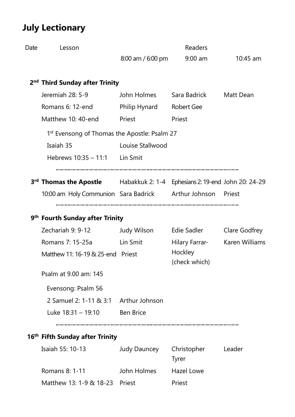# **July Lectionary**

| Date | Lesson                                                                                      |                     | Readers                     |                |
|------|---------------------------------------------------------------------------------------------|---------------------|-----------------------------|----------------|
|      |                                                                                             | $8:00$ am / 6:00 pm | $9:00$ am                   | $10:45$ am     |
|      | 2 <sup>nd</sup> Third Sunday after Trinity                                                  |                     |                             |                |
|      | Jeremiah 28: 5-9                                                                            | John Holmes         | Sara Badrick Matt Dean      |                |
|      | Romans 6: 12-end                                                                            | Philip Hynard       | <b>Robert Gee</b>           |                |
|      | Matthew 10: 40-end                                                                          | Priest              | Priest                      |                |
|      | 1 <sup>st</sup> Evensong of Thomas the Apostle: Psalm 27                                    |                     |                             |                |
|      | Isaiah 35                                                                                   | Louise Stallwood    |                             |                |
|      | Hebrews $10:35 - 11:1$ Lin Smit                                                             |                     |                             |                |
|      | <b>3<sup>rd</sup> Thomas the Apostle</b> Habakkuk 2: 1-4 Ephesians 2: 19-end John 20: 24-29 |                     |                             |                |
|      | 10:00 am Holy Communion Sara Badrick Arthur Johnson Priest                                  |                     |                             |                |
|      | 9 <sup>th</sup> Fourth Sunday after Trinity                                                 |                     |                             |                |
|      | Zechariah 9: 9-12                                                                           | Judy Wilson         | Edie Sadler                 | Clare Godfrey  |
|      | Romans 7: 15-25a                                                                            | Lin Smit            | Hilary Farrar-              | Karen Williams |
|      | Matthew 11: 16-19 & 25-end Priest                                                           |                     | Hockley<br>(check which)    |                |
|      | Psalm at 9.00 am: 145                                                                       |                     |                             |                |
|      | Evensong: Psalm 56                                                                          |                     |                             |                |
|      | 2 Samuel 2: 1-11 & 3:1 Arthur Johnson                                                       |                     |                             |                |
|      | Luke $18:31 - 19:10$                                                                        | <b>Ben Brice</b>    |                             |                |
|      | 16 <sup>th</sup> Fifth Sunday after Trinity                                                 |                     |                             |                |
|      | Isaiah 55: 10-13                                                                            | Judy Dauncey        | Christopher<br><b>Tyrer</b> | Leader         |
|      | Romans 8: 1-11                                                                              | John Holmes         | <b>Hazel Lowe</b>           |                |
|      | Matthew 13: 1-9 & 18-23                                                                     | Priest              | Priest                      |                |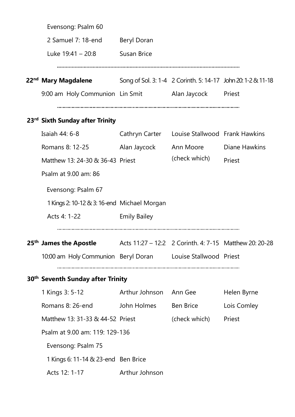| Evensong: Psalm 60                                                                                              |                     |                                |                                                              |
|-----------------------------------------------------------------------------------------------------------------|---------------------|--------------------------------|--------------------------------------------------------------|
| 2 Samuel 7: 18-end                                                                                              | Beryl Doran         |                                |                                                              |
| Luke $19:41 - 20:8$                                                                                             | <b>Susan Brice</b>  |                                |                                                              |
|                                                                                                                 |                     |                                |                                                              |
| 22 <sup>nd</sup> Mary Magdalene                                                                                 |                     |                                | Song of Sol. 3: 1-4 2 Corinth. 5: 14-17 John 20: 1-2 & 11-18 |
| 9:00 am Holy Communion Lin Smit Alan Jaycock Priest                                                             |                     |                                |                                                              |
| 23 <sup>rd</sup> Sixth Sunday after Trinity                                                                     |                     |                                |                                                              |
| Isaiah 44: 6-8                                                                                                  | Cathryn Carter      | Louise Stallwood Frank Hawkins |                                                              |
| Romans 8: 12-25                                                                                                 | Alan Jaycock        | Ann Moore                      | Diane Hawkins                                                |
| Matthew 13: 24-30 & 36-43 Priest                                                                                |                     | (check which)                  | Priest                                                       |
| Psalm at 9.00 am: 86                                                                                            |                     |                                |                                                              |
| Evensong: Psalm 67                                                                                              |                     |                                |                                                              |
| 1 Kings 2: 10-12 & 3: 16-end Michael Morgan                                                                     |                     |                                |                                                              |
| Acts 4: 1-22                                                                                                    | <b>Emily Bailey</b> |                                |                                                              |
|                                                                                                                 |                     |                                |                                                              |
| <b>25<sup>th</sup> James the Apostle</b> $\qquad \qquad$ Acts 11:27 – 12:2 2 Corinth. 4: 7-15 Matthew 20: 20-28 |                     |                                |                                                              |
| 10:00 am Holy Communion Beryl Doran Louise Stallwood Priest                                                     |                     |                                |                                                              |
| 30 <sup>th</sup> Seventh Sunday after Trinity                                                                   |                     |                                |                                                              |
| 1 Kings 3: 5-12                                                                                                 | Arthur Johnson      | Ann Gee                        | Helen Byrne                                                  |
| Romans 8: 26-end                                                                                                | John Holmes         | Ben Brice                      | Lois Comley                                                  |
| Matthew 13: 31-33 & 44-52 Priest                                                                                |                     | (check which)                  | Priest                                                       |
| Psalm at 9.00 am: 119: 129-136                                                                                  |                     |                                |                                                              |
| Evensong: Psalm 75                                                                                              |                     |                                |                                                              |
| 1 Kings 6: 11-14 & 23-end Ben Brice                                                                             |                     |                                |                                                              |
| Acts 12: 1-17                                                                                                   | Arthur Johnson      |                                |                                                              |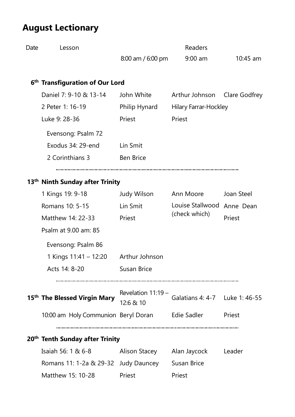# **August Lectionary**

| Date | Lesson                                                         | 8:00 am / 6:00 pm                 | <b>Readers</b><br>$9:00$ am       | $10:45$ am    |
|------|----------------------------------------------------------------|-----------------------------------|-----------------------------------|---------------|
|      | 6 <sup>th</sup> Transfiguration of Our Lord                    |                                   |                                   |               |
|      | Daniel 7: 9-10 & 13-14                                         | John White                        | Arthur Johnson                    | Clare Godfrey |
|      | 2 Peter 1: 16-19                                               | Philip Hynard                     | <b>Hilary Farrar-Hockley</b>      |               |
|      | Luke 9: 28-36                                                  | Priest                            | Priest                            |               |
|      | Evensong: Psalm 72                                             |                                   |                                   |               |
|      | Exodus 34: 29-end                                              | Lin Smit                          |                                   |               |
|      | 2 Corinthians 3                                                | <b>Ben Brice</b>                  |                                   |               |
|      | 13 <sup>th</sup> Ninth Sunday after Trinity                    |                                   |                                   |               |
|      | 1 Kings 19: 9-18                                               | Judy Wilson                       | Ann Moore                         | Joan Steel    |
|      | Romans 10: 5-15                                                | Lin Smit                          | Louise Stallwood                  | Anne Dean     |
|      | Matthew 14: 22-33                                              | Priest                            | (check which)                     | Priest        |
|      | Psalm at 9.00 am: 85                                           |                                   |                                   |               |
|      | Evensong: Psalm 86                                             |                                   |                                   |               |
|      | 1 Kings 11:41 - 12:20                                          | Arthur Johnson                    |                                   |               |
|      | Acts 14: 8-20                                                  | Susan Brice                       |                                   |               |
|      | 15 <sup>th</sup> The Blessed Virgin Mary                       | Revelation $11:19 -$<br>12:6 & 10 | Galatians 4: 4-7    Luke 1: 46-55 |               |
|      | 10:00 am Holy Communion Beryl Doran Edie Sadler Priest         |                                   |                                   |               |
|      | 20 <sup>th</sup> Tenth Sunday after Trinity                    |                                   |                                   |               |
|      | Isaiah 56: 1 & 6-8   – Alison Stacey  – Alan Jaycock  – Leader |                                   |                                   |               |
|      | Romans 11: 1-2a & 29-32 Judy Dauncey                           |                                   | <b>Susan Brice</b>                |               |
|      | Matthew 15: 10-28                                              | Priest                            | Priest                            |               |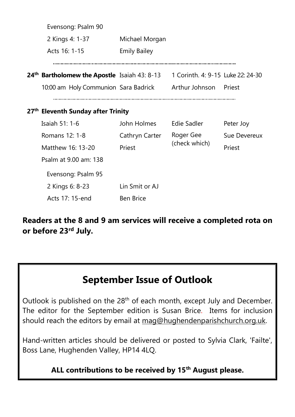| Evensong: Psalm 90                                       |                     |                                   |              |
|----------------------------------------------------------|---------------------|-----------------------------------|--------------|
| 2 Kings 4: 1-37                                          | Michael Morgan      |                                   |              |
| Acts 16: 1-15                                            | <b>Emily Bailey</b> |                                   |              |
|                                                          |                     |                                   |              |
| 24 <sup>th</sup> Bartholomew the Apostle Isaiah 43: 8-13 |                     | 1 Corinth. 4: 9-15 Luke 22: 24-30 |              |
| 10:00 am Holy Communion Sara Badrick Arthur Johnson      |                     |                                   | Priest       |
|                                                          |                     |                                   |              |
| 27 <sup>th</sup> Eleventh Sunday after Trinity           |                     |                                   |              |
| Isaiah 51: 1-6                                           | John Holmes         | <b>Edie Sadler</b>                | Peter Joy    |
| Romans 12: 1-8                                           | Cathryn Carter      | Roger Gee                         | Sue Devereux |
| Matthew 16: 13-20                                        | Priest              | (check which)                     | Priest       |
| Psalm at 9.00 am: 138                                    |                     |                                   |              |
| Evensong: Psalm 95                                       |                     |                                   |              |
| 2 Kings 6: 8-23                                          | Lin Smit or AJ      |                                   |              |
| Acts 17: 15-end                                          | <b>Ben Brice</b>    |                                   |              |

**Readers at the 8 and 9 am services will receive a completed rota on or before 23rd July.**

# **September Issue of Outlook**

Outlook is published on the 28<sup>th</sup> of each month, except July and December. The editor for the September edition is Susan Brice. Items for inclusion should reach the editors by email at [mag@hughendenparishchurch.org.uk.](mailto:mag@hughendenparishchurch.org.uk)

Hand-written articles should be delivered or posted to Sylvia Clark, 'Failte', Boss Lane, Hughenden Valley, HP14 4LQ.

**ALL contributions to be received by 15th August please.**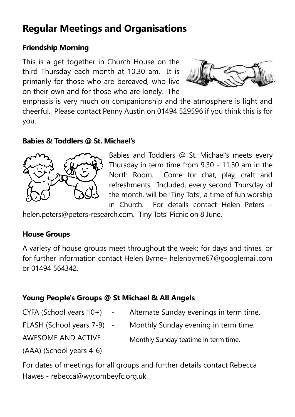# **Regular Meetings and Organisations**

#### **Friendship Morning**

This is a get together in Church House on the third Thursday each month at 10.30 am. It is primarily for those who are bereaved, who live on their own and for those who are lonely. The



emphasis is very much on companionship and the atmosphere is light and cheerful. Please contact Penny Austin on 01494 529596 if you think this is for you.

#### **Babies & Toddlers @ St. Michael's**



Babies and Toddlers @ St. Michael's meets every Thursday in term time from 9.30 - 11.30 am in the North Room. Come for chat, play, craft and refreshments. Included, every second Thursday of the month, will be 'Tiny Tots', a time of fun worship in Church. For details contact Helen Peters –

[helen.peters@peters-research.com.](mailto:helen.peters@peters-research.com) Tiny Tots' Picnic on 8 June.

#### **House Groups**

A variety of house groups meet throughout the week: for days and times, or for further information contact Helen Byrne– helenbyrne67@googlemail.com or 01494 564342.

#### **Young People's Groups @ St Michael & All Angels**

- $CYFA$  (School years  $10+)$  Alternate Sunday evenings in term time.
- FLASH (School years 7-9) Monthly Sunday evening in term time.
- AWESOME AND ACTIVE

(AAA) (School years 4-6)

Monthly Sunday teatime in term time.

For dates of meetings for all groups and further details contact Rebecca Hawes - rebecca@wycombeyfc.org.uk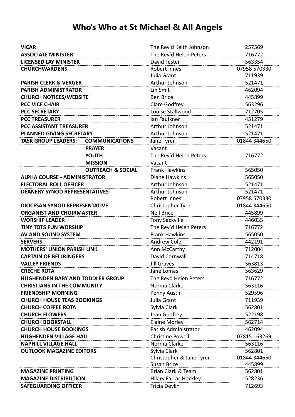# **Who's Who at St Michael & All Angels**

| <b>VICAR</b>                         |                              | The Rev'd Keith Johnson      | 257569       |
|--------------------------------------|------------------------------|------------------------------|--------------|
| <b>ASSOCIATE MINISTER</b>            |                              | The Rev'd Helen Peters       | 716772       |
| <b>LICENSED LAY MINISTER</b>         |                              | David Tester                 | 563354       |
| <b>CHURCHWARDENS</b>                 |                              | Robert Innes                 | 07958 570330 |
|                                      |                              | Julia Grant                  | 711939       |
| <b>PARISH CLERK &amp; VERGER</b>     |                              | Arthur Johnson               | 521471       |
| <b>PARISH ADMINISTRATOR</b>          |                              | Lin Smit                     | 462094       |
| <b>CHURCH NOTICES/WEBSITE</b>        |                              | <b>Ben Brice</b>             | 445899       |
| <b>PCC VICE CHAIR</b>                |                              | Clare Godfrey                | 563296       |
| <b>PCC SECRETARY</b>                 |                              | Louise Stallwood             | 712705       |
| <b>PCC TREASURER</b>                 |                              | Ian Faulkner                 | 451279       |
| <b>PCC ASSISTANT TREASURER</b>       |                              | Arthur Johnson               | 521471       |
| <b>PLANNED GIVING SECRETARY</b>      |                              | Arthur Johnson               | 521471       |
| <b>TASK GROUP LEADERS:</b>           | <b>COMMUNICATIONS</b>        | Jane Tyrer                   | 01844 344650 |
|                                      | <b>PRAYER</b>                | Vacant                       |              |
|                                      | <b>YOUTH</b>                 | The Rev'd Helen Peters       | 716772       |
|                                      | <b>MISSION</b>               | Vacant                       |              |
|                                      | <b>OUTREACH &amp; SOCIAL</b> | <b>Frank Hawkins</b>         | 565050       |
| <b>ALPHA COURSE - ADMINISTRATOR</b>  |                              | Diane Hawkins                | 565050       |
| <b>ELECTORAL ROLL OFFICER</b>        |                              | Arthur Johnson               | 521471       |
| <b>DEANERY SYNOD REPRESENTATIVES</b> |                              | Arthur Johnson               | 521471       |
|                                      |                              | Robert Innes                 | 07958 570330 |
| <b>DIOCESAN SYNOD REPRESENTATIVE</b> |                              | Christopher Tyrer            | 01844 344650 |
| <b>ORGANIST AND CHOIRMASTER</b>      |                              | <b>Neil Brice</b>            | 445899       |
| <b>WORSHIP LEADER</b>                |                              | <b>Tony Sackville</b>        | 446035       |
| <b>TINY TOTS FUN WORSHIP</b>         |                              | The Rev'd Helen Peters       | 716772       |
| AV AND SOUND SYSTEM                  |                              | <b>Frank Hawkins</b>         | 565050       |
| <b>SERVERS</b>                       |                              | <b>Andrew Cole</b>           | 442191       |
| <b>MOTHERS' UNION PARISH LINK</b>    |                              | Ann McCarthy                 | 712004       |
| <b>CAPTAIN OF BELLRINGERS</b>        |                              | David Cornwall               | 714718       |
| <b>VALLEY FRIENDS</b>                |                              | Jill Graves                  | 563813       |
| <b>CRECHE ROTA</b>                   |                              | Jane Lomas                   | 563629       |
| HUGHENDEN BABY AND TODDLER GROUP     |                              | The Revd Helen Peters        | 716772       |
| <b>CHRISTIANS IN THE COMMUNITY</b>   |                              | Norma Clarke                 | 563116       |
| <b>FRIENDSHIP MORNING</b>            |                              | Penny Austin                 | 529596       |
| <b>CHURCH HOUSE TEAS BOOKINGS</b>    |                              | Julia Grant                  | 711939       |
| <b>CHURCH COFFEE ROTA</b>            |                              | Sylvia Clark                 | 562801       |
| <b>CHURCH FLOWERS</b>                |                              | Jean Godfrey                 | 522198       |
| <b>CHURCH BOOKSTALL</b>              |                              | <b>Elaine Morley</b>         | 562714       |
| <b>CHURCH HOUSE BOOKINGS</b>         |                              | Parish Administrator         | 462094       |
| <b>HUGHENDEN VILLAGE HALL</b>        |                              | <b>Christine Powell</b>      | 07815 163269 |
| <b>NAPHILL VILLAGE HALL</b>          |                              | Norma Clarke                 | 563116       |
| <b>OUTLOOK MAGAZINE EDITORS</b>      |                              | Sylvia Clark                 | 562801       |
|                                      |                              | Christopher & Jane Tyrer     | 01844 344650 |
|                                      |                              | <b>Susan Brice</b>           | 445899       |
| <b>MAGAZINE PRINTING</b>             |                              | Brian Clark & Team           | 562801       |
| <b>MAGAZINE DISTRIBUTION</b>         |                              | <b>Hilary Farrar-Hockley</b> | 528236       |
| <b>SAFEGUARDING OFFICER</b>          |                              | Tricia Devlin                | 712693       |